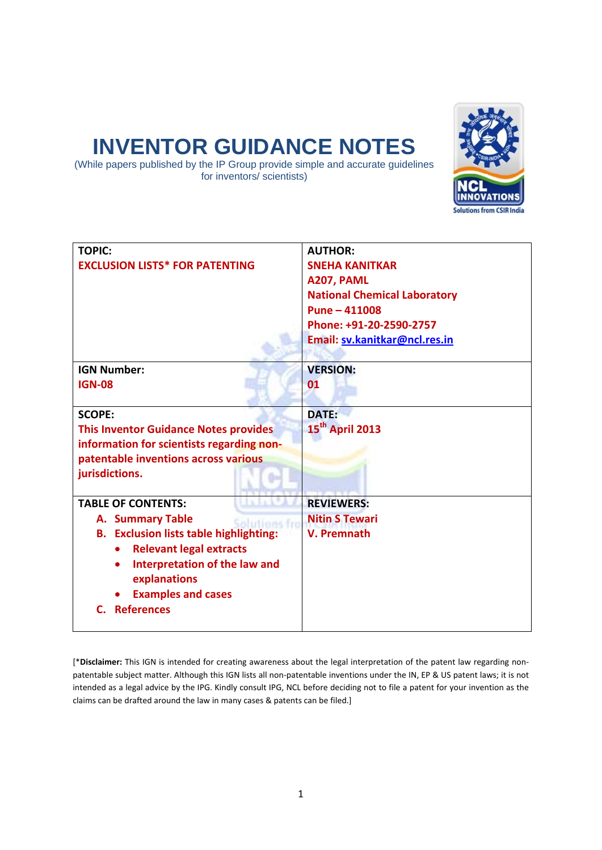# **INVENTOR GUIDANCE NOTES**

(While papers published by the IP Group provide simple and accurate guidelines for inventors/ scientists)



| <b>TOPIC:</b><br><b>EXCLUSION LISTS* FOR PATENTING</b>                                                                                                                                                                       | <b>AUTHOR:</b><br><b>SNEHA KANITKAR</b><br>A207, PAML<br><b>National Chemical Laboratory</b><br>Pune - 411008<br>Phone: +91-20-2590-2757<br>Email: sv.kanitkar@ncl.res.in |  |
|------------------------------------------------------------------------------------------------------------------------------------------------------------------------------------------------------------------------------|---------------------------------------------------------------------------------------------------------------------------------------------------------------------------|--|
| <b>IGN Number:</b><br><b>IGN-08</b>                                                                                                                                                                                          | <b>VERSION:</b><br>01                                                                                                                                                     |  |
| <b>SCOPE:</b><br><b>This Inventor Guidance Notes provides</b><br>information for scientists regarding non-<br>patentable inventions across various<br>jurisdictions.                                                         | <b>DATE:</b><br>15 <sup>th</sup> April 2013                                                                                                                               |  |
| <b>TABLE OF CONTENTS:</b>                                                                                                                                                                                                    | <b>REVIEWERS:</b>                                                                                                                                                         |  |
| A. Summary Table                                                                                                                                                                                                             | <b>Nitin S Tewari</b>                                                                                                                                                     |  |
| <b>B.</b> Exclusion lists table highlighting:<br><b>Relevant legal extracts</b><br>$\bullet$<br>Interpretation of the law and<br>$\bullet$<br>explanations<br><b>Examples and cases</b><br><b>References</b><br>$\mathbf{C}$ | <b>V. Premnath</b>                                                                                                                                                        |  |

[\*Disclaimer: This IGN is intended for creating awareness about the legal interpretation of the patent law regarding nonpatentable subject matter. Although this IGN lists all non-patentable inventions under the IN, EP & US patent laws; it is not intended as a legal advice by the IPG. Kindly consult IPG, NCL before deciding not to file a patent for your invention as the claims can be drafted around the law in many cases & patents can be filed.]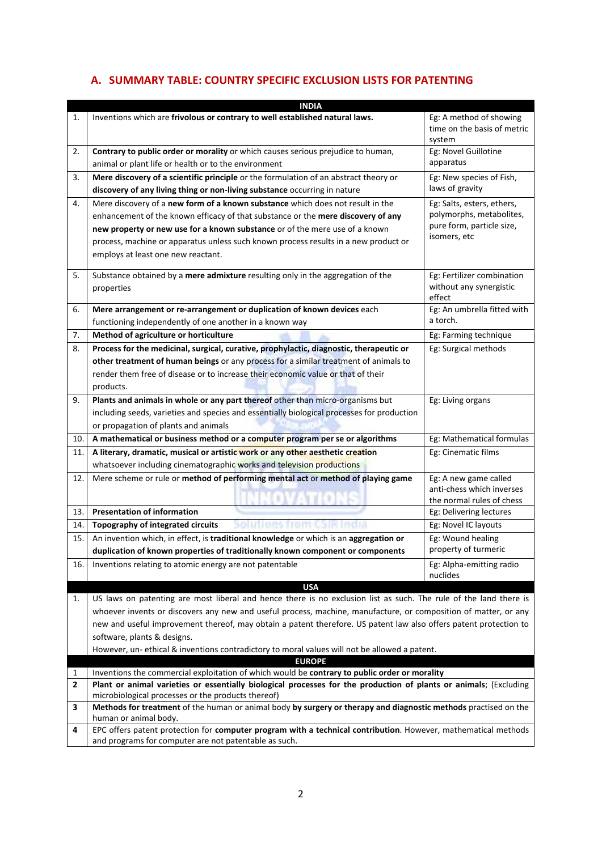# **A. SUMMARY TABLE: COUNTRY SPECIFIC EXCLUSION LISTS FOR PATENTING**

|     | <b>INDIA</b>                                                                                                                                                                                                                                                                                                                                                                                                                                                                                           |                                                                                                     |
|-----|--------------------------------------------------------------------------------------------------------------------------------------------------------------------------------------------------------------------------------------------------------------------------------------------------------------------------------------------------------------------------------------------------------------------------------------------------------------------------------------------------------|-----------------------------------------------------------------------------------------------------|
| 1.  | Inventions which are frivolous or contrary to well established natural laws.                                                                                                                                                                                                                                                                                                                                                                                                                           | Eg: A method of showing<br>time on the basis of metric<br>system                                    |
| 2.  | Contrary to public order or morality or which causes serious prejudice to human,<br>animal or plant life or health or to the environment                                                                                                                                                                                                                                                                                                                                                               | Eg: Novel Guillotine<br>apparatus                                                                   |
| 3.  | Mere discovery of a scientific principle or the formulation of an abstract theory or<br>discovery of any living thing or non-living substance occurring in nature                                                                                                                                                                                                                                                                                                                                      | Eg: New species of Fish,<br>laws of gravity                                                         |
| 4.  | Mere discovery of a new form of a known substance which does not result in the<br>enhancement of the known efficacy of that substance or the mere discovery of any<br>new property or new use for a known substance or of the mere use of a known<br>process, machine or apparatus unless such known process results in a new product or<br>employs at least one new reactant.                                                                                                                         | Eg: Salts, esters, ethers,<br>polymorphs, metabolites,<br>pure form, particle size,<br>isomers, etc |
| 5.  | Substance obtained by a mere admixture resulting only in the aggregation of the<br>properties                                                                                                                                                                                                                                                                                                                                                                                                          | Eg: Fertilizer combination<br>without any synergistic<br>effect                                     |
| 6.  | Mere arrangement or re-arrangement or duplication of known devices each<br>functioning independently of one another in a known way                                                                                                                                                                                                                                                                                                                                                                     | Eg: An umbrella fitted with<br>a torch.                                                             |
| 7.  | Method of agriculture or horticulture                                                                                                                                                                                                                                                                                                                                                                                                                                                                  | Eg: Farming technique                                                                               |
| 8.  | Process for the medicinal, surgical, curative, prophylactic, diagnostic, therapeutic or<br>other treatment of human beings or any process for a similar treatment of animals to<br>render them free of disease or to increase their economic value or that of their<br>products.                                                                                                                                                                                                                       | Eg: Surgical methods                                                                                |
| 9.  | Plants and animals in whole or any part thereof other than micro-organisms but<br>including seeds, varieties and species and essentially biological processes for production<br>or propagation of plants and animals                                                                                                                                                                                                                                                                                   | Eg: Living organs                                                                                   |
| 10. | A mathematical or business method or a computer program per se or algorithms                                                                                                                                                                                                                                                                                                                                                                                                                           | Eg: Mathematical formulas                                                                           |
| 11. | A literary, dramatic, musical or artistic work or any other aesthetic creation<br>whatsoever including cinematographic works and television productions                                                                                                                                                                                                                                                                                                                                                | Eg: Cinematic films                                                                                 |
| 12. | Mere scheme or rule or method of performing mental act or method of playing game                                                                                                                                                                                                                                                                                                                                                                                                                       | Eg: A new game called<br>anti-chess which inverses<br>the normal rules of chess                     |
| 13. | <b>Presentation of information</b>                                                                                                                                                                                                                                                                                                                                                                                                                                                                     | Eg: Delivering lectures                                                                             |
| 14. | Topography of integrated circuits<br>Solutions from CSIR India                                                                                                                                                                                                                                                                                                                                                                                                                                         | Eg: Novel IC layouts                                                                                |
| 15. | An invention which, in effect, is traditional knowledge or which is an aggregation or<br>duplication of known properties of traditionally known component or components                                                                                                                                                                                                                                                                                                                                | Eg: Wound healing<br>property of turmeric                                                           |
| 16. | Inventions relating to atomic energy are not patentable                                                                                                                                                                                                                                                                                                                                                                                                                                                | Eg: Alpha-emitting radio<br>nuclides                                                                |
| 1.  | <b>USA</b><br>US laws on patenting are most liberal and hence there is no exclusion list as such. The rule of the land there is<br>whoever invents or discovers any new and useful process, machine, manufacture, or composition of matter, or any<br>new and useful improvement thereof, may obtain a patent therefore. US patent law also offers patent protection to<br>software, plants & designs.<br>However, un-ethical & inventions contradictory to moral values will not be allowed a patent. |                                                                                                     |
|     | <b>EUROPE</b>                                                                                                                                                                                                                                                                                                                                                                                                                                                                                          |                                                                                                     |
| 1   | Inventions the commercial exploitation of which would be contrary to public order or morality                                                                                                                                                                                                                                                                                                                                                                                                          |                                                                                                     |
| 2   | Plant or animal varieties or essentially biological processes for the production of plants or animals; (Excluding                                                                                                                                                                                                                                                                                                                                                                                      |                                                                                                     |
| 3   | microbiological processes or the products thereof)<br>Methods for treatment of the human or animal body by surgery or therapy and diagnostic methods practised on the<br>human or animal body.                                                                                                                                                                                                                                                                                                         |                                                                                                     |
| 4   | EPC offers patent protection for computer program with a technical contribution. However, mathematical methods<br>and programs for computer are not patentable as such.                                                                                                                                                                                                                                                                                                                                |                                                                                                     |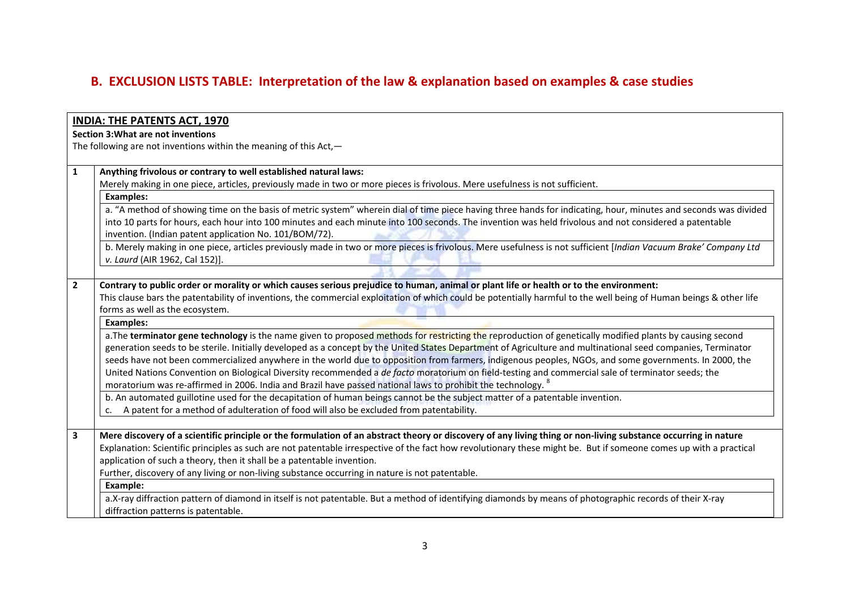# **B. EXCLUSION LISTS TABLE: Interpretation of the law & explanation based on examples & case studies**

|                                                                                                                                                                 | <b>INDIA: THE PATENTS ACT, 1970</b>                                                                                                                                                                              |  |  |  |  |
|-----------------------------------------------------------------------------------------------------------------------------------------------------------------|------------------------------------------------------------------------------------------------------------------------------------------------------------------------------------------------------------------|--|--|--|--|
|                                                                                                                                                                 | Section 3: What are not inventions                                                                                                                                                                               |  |  |  |  |
|                                                                                                                                                                 | The following are not inventions within the meaning of this Act, $-$                                                                                                                                             |  |  |  |  |
|                                                                                                                                                                 |                                                                                                                                                                                                                  |  |  |  |  |
| 1                                                                                                                                                               | Anything frivolous or contrary to well established natural laws:                                                                                                                                                 |  |  |  |  |
|                                                                                                                                                                 | Merely making in one piece, articles, previously made in two or more pieces is frivolous. Mere usefulness is not sufficient.                                                                                     |  |  |  |  |
|                                                                                                                                                                 | <b>Examples:</b>                                                                                                                                                                                                 |  |  |  |  |
| a. "A method of showing time on the basis of metric system" wherein dial of time piece having three hands for indicating, hour, minutes and seconds was divided |                                                                                                                                                                                                                  |  |  |  |  |
|                                                                                                                                                                 | into 10 parts for hours, each hour into 100 minutes and each minute into 100 seconds. The invention was held frivolous and not considered a patentable<br>invention. (Indian patent application No. 101/BOM/72). |  |  |  |  |
|                                                                                                                                                                 | b. Merely making in one piece, articles previously made in two or more pieces is frivolous. Mere usefulness is not sufficient [Indian Vacuum Brake' Company Ltd<br>v. Laurd (AIR 1962, Cal 152)].                |  |  |  |  |
|                                                                                                                                                                 |                                                                                                                                                                                                                  |  |  |  |  |
| $\overline{2}$                                                                                                                                                  | Contrary to public order or morality or which causes serious prejudice to human, animal or plant life or health or to the environment:                                                                           |  |  |  |  |
|                                                                                                                                                                 | This clause bars the patentability of inventions, the commercial exploitation of which could be potentially harmful to the well being of Human beings & other life                                               |  |  |  |  |
|                                                                                                                                                                 | forms as well as the ecosystem.                                                                                                                                                                                  |  |  |  |  |
|                                                                                                                                                                 | <b>Examples:</b>                                                                                                                                                                                                 |  |  |  |  |
|                                                                                                                                                                 | a. The terminator gene technology is the name given to proposed methods for restricting the reproduction of genetically modified plants by causing second                                                        |  |  |  |  |
|                                                                                                                                                                 | generation seeds to be sterile. Initially developed as a concept by the United States Department of Agriculture and multinational seed companies, Terminator                                                     |  |  |  |  |
|                                                                                                                                                                 | seeds have not been commercialized anywhere in the world due to opposition from farmers, indigenous peoples, NGOs, and some governments. In 2000, the                                                            |  |  |  |  |
|                                                                                                                                                                 | United Nations Convention on Biological Diversity recommended a de facto moratorium on field-testing and commercial sale of terminator seeds; the                                                                |  |  |  |  |
|                                                                                                                                                                 | moratorium was re-affirmed in 2006. India and Brazil have passed national laws to prohibit the technology. <sup>8</sup>                                                                                          |  |  |  |  |
|                                                                                                                                                                 | b. An automated guillotine used for the decapitation of human beings cannot be the subject matter of a patentable invention.                                                                                     |  |  |  |  |
|                                                                                                                                                                 | A patent for a method of adulteration of food will also be excluded from patentability.                                                                                                                          |  |  |  |  |
| $\overline{\mathbf{3}}$                                                                                                                                         | Mere discovery of a scientific principle or the formulation of an abstract theory or discovery of any living thing or non-living substance occurring in nature                                                   |  |  |  |  |
|                                                                                                                                                                 | Explanation: Scientific principles as such are not patentable irrespective of the fact how revolutionary these might be. But if someone comes up with a practical                                                |  |  |  |  |
|                                                                                                                                                                 | application of such a theory, then it shall be a patentable invention.                                                                                                                                           |  |  |  |  |
|                                                                                                                                                                 | Further, discovery of any living or non-living substance occurring in nature is not patentable.                                                                                                                  |  |  |  |  |
|                                                                                                                                                                 | Example:                                                                                                                                                                                                         |  |  |  |  |
|                                                                                                                                                                 | a.X-ray diffraction pattern of diamond in itself is not patentable. But a method of identifying diamonds by means of photographic records of their X-ray                                                         |  |  |  |  |
|                                                                                                                                                                 | diffraction patterns is patentable.                                                                                                                                                                              |  |  |  |  |
|                                                                                                                                                                 |                                                                                                                                                                                                                  |  |  |  |  |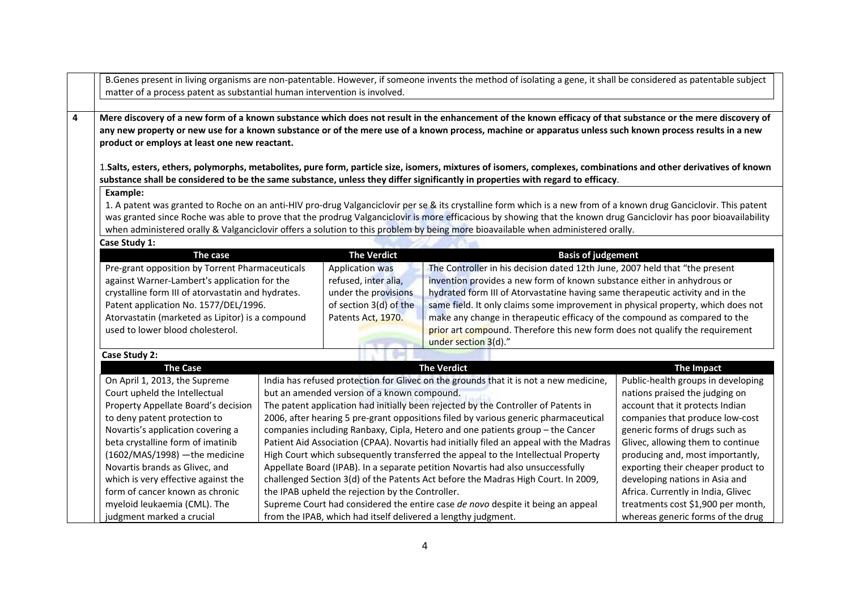|   | matter of a process patent as substantial human intervention is involved.                                                                    |                                                                              |                                                               | B. Genes present in living organisms are non-patentable. However, if someone invents the method of isolating a gene, it shall be considered as patentable subject                                                                                                                                                                                                                                                                                                                                                                                                                                                               |                                                                    |
|---|----------------------------------------------------------------------------------------------------------------------------------------------|------------------------------------------------------------------------------|---------------------------------------------------------------|---------------------------------------------------------------------------------------------------------------------------------------------------------------------------------------------------------------------------------------------------------------------------------------------------------------------------------------------------------------------------------------------------------------------------------------------------------------------------------------------------------------------------------------------------------------------------------------------------------------------------------|--------------------------------------------------------------------|
| 4 | product or employs at least one new reactant.                                                                                                |                                                                              |                                                               | Mere discovery of a new form of a known substance which does not result in the enhancement of the known efficacy of that substance or the mere discovery of<br>any new property or new use for a known substance or of the mere use of a known process, machine or apparatus unless such known process results in a new<br>1. Salts, esters, ethers, polymorphs, metabolites, pure form, particle size, isomers, mixtures of isomers, complexes, combinations and other derivatives of known<br>substance shall be considered to be the same substance, unless they differ significantly in properties with regard to efficacy. |                                                                    |
|   | Example:                                                                                                                                     |                                                                              |                                                               | 1. A patent was granted to Roche on an anti-HIV pro-drug Valganciclovir per se & its crystalline form which is a new from of a known drug Ganciclovir. This patent<br>was granted since Roche was able to prove that the prodrug Valganciclovir is more efficacious by showing that the known drug Ganciclovir has poor bioavailability<br>when administered orally & Valganciclovir offers a solution to this problem by being more bioavailable when administered orally.                                                                                                                                                     |                                                                    |
|   | Case Study 1:                                                                                                                                |                                                                              |                                                               |                                                                                                                                                                                                                                                                                                                                                                                                                                                                                                                                                                                                                                 |                                                                    |
|   | <b>The case</b>                                                                                                                              |                                                                              | <b>The Verdict</b>                                            | <b>Basis of judgement</b>                                                                                                                                                                                                                                                                                                                                                                                                                                                                                                                                                                                                       |                                                                    |
|   | Pre-grant opposition by Torrent Pharmaceuticals                                                                                              |                                                                              | Application was                                               | The Controller in his decision dated 12th June, 2007 held that "the present                                                                                                                                                                                                                                                                                                                                                                                                                                                                                                                                                     |                                                                    |
|   | against Warner-Lambert's application for the                                                                                                 |                                                                              | refused, inter alia,                                          | invention provides a new form of known substance either in anhydrous or                                                                                                                                                                                                                                                                                                                                                                                                                                                                                                                                                         |                                                                    |
|   | crystalline form III of atorvastatin and hydrates.                                                                                           |                                                                              | under the provisions                                          | hydrated form III of Atorvastatine having same therapeutic activity and in the                                                                                                                                                                                                                                                                                                                                                                                                                                                                                                                                                  |                                                                    |
|   | Patent application No. 1577/DEL/1996.                                                                                                        |                                                                              | of section 3(d) of the                                        | same field. It only claims some improvement in physical property, which does not                                                                                                                                                                                                                                                                                                                                                                                                                                                                                                                                                |                                                                    |
|   | Atorvastatin (marketed as Lipitor) is a compound                                                                                             |                                                                              | Patents Act, 1970.                                            | make any change in therapeutic efficacy of the compound as compared to the                                                                                                                                                                                                                                                                                                                                                                                                                                                                                                                                                      |                                                                    |
|   | used to lower blood cholesterol.                                                                                                             | prior art compound. Therefore this new form does not qualify the requirement |                                                               |                                                                                                                                                                                                                                                                                                                                                                                                                                                                                                                                                                                                                                 |                                                                    |
|   | under section 3(d)."                                                                                                                         |                                                                              |                                                               |                                                                                                                                                                                                                                                                                                                                                                                                                                                                                                                                                                                                                                 |                                                                    |
|   | Case Study 2:                                                                                                                                |                                                                              |                                                               |                                                                                                                                                                                                                                                                                                                                                                                                                                                                                                                                                                                                                                 |                                                                    |
|   | <b>The Verdict</b><br><b>The Case</b><br>The Impact<br>India has refused protection for Glivec on the grounds that it is not a new medicine, |                                                                              |                                                               |                                                                                                                                                                                                                                                                                                                                                                                                                                                                                                                                                                                                                                 |                                                                    |
|   | On April 1, 2013, the Supreme                                                                                                                |                                                                              |                                                               |                                                                                                                                                                                                                                                                                                                                                                                                                                                                                                                                                                                                                                 | Public-health groups in developing                                 |
|   | Court upheld the Intellectual                                                                                                                |                                                                              | but an amended version of a known compound.                   | The patent application had initially been rejected by the Controller of Patents in                                                                                                                                                                                                                                                                                                                                                                                                                                                                                                                                              | nations praised the judging on                                     |
|   | Property Appellate Board's decision<br>to deny patent protection to                                                                          |                                                                              |                                                               | 2006, after hearing 5 pre-grant oppositions filed by various generic pharmaceutical                                                                                                                                                                                                                                                                                                                                                                                                                                                                                                                                             | account that it protects Indian<br>companies that produce low-cost |
|   | Novartis's application covering a                                                                                                            |                                                                              |                                                               | companies including Ranbaxy, Cipla, Hetero and one patients group - the Cancer                                                                                                                                                                                                                                                                                                                                                                                                                                                                                                                                                  | generic forms of drugs such as                                     |
|   | beta crystalline form of imatinib                                                                                                            |                                                                              |                                                               | Patient Aid Association (CPAA). Novartis had initially filed an appeal with the Madras                                                                                                                                                                                                                                                                                                                                                                                                                                                                                                                                          | Glivec, allowing them to continue                                  |
|   | (1602/MAS/1998) - the medicine                                                                                                               |                                                                              |                                                               | High Court which subsequently transferred the appeal to the Intellectual Property                                                                                                                                                                                                                                                                                                                                                                                                                                                                                                                                               | producing and, most importantly,                                   |
|   | Novartis brands as Glivec, and                                                                                                               |                                                                              |                                                               | Appellate Board (IPAB). In a separate petition Novartis had also unsuccessfully                                                                                                                                                                                                                                                                                                                                                                                                                                                                                                                                                 | exporting their cheaper product to                                 |
|   | which is very effective against the                                                                                                          |                                                                              |                                                               | challenged Section 3(d) of the Patents Act before the Madras High Court. In 2009,                                                                                                                                                                                                                                                                                                                                                                                                                                                                                                                                               | developing nations in Asia and                                     |
|   | form of cancer known as chronic                                                                                                              |                                                                              | the IPAB upheld the rejection by the Controller.              |                                                                                                                                                                                                                                                                                                                                                                                                                                                                                                                                                                                                                                 | Africa. Currently in India, Glivec                                 |
|   | myeloid leukaemia (CML). The                                                                                                                 |                                                                              |                                                               | Supreme Court had considered the entire case de novo despite it being an appeal                                                                                                                                                                                                                                                                                                                                                                                                                                                                                                                                                 | treatments cost \$1,900 per month,                                 |
|   | judgment marked a crucial                                                                                                                    |                                                                              | from the IPAB, which had itself delivered a lengthy judgment. |                                                                                                                                                                                                                                                                                                                                                                                                                                                                                                                                                                                                                                 | whereas generic forms of the drug                                  |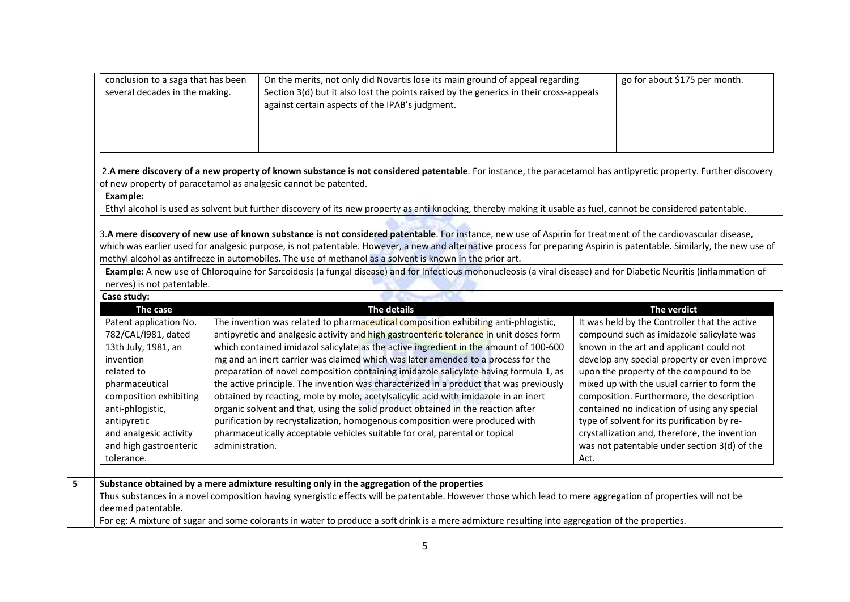| 2.A mere discovery of a new property of known substance is not considered patentable. For instance, the paracetamol has antipyretic property. Further discovery<br>of new property of paracetamol as analgesic cannot be patented.<br>Example:<br>Ethyl alcohol is used as solvent but further discovery of its new property as anti knocking, thereby making it usable as fuel, cannot be considered patentable.<br>3.A mere discovery of new use of known substance is not considered patentable. For instance, new use of Aspirin for treatment of the cardiovascular disease,<br>which was earlier used for analgesic purpose, is not patentable. However, a new and alternative process for preparing Aspirin is patentable. Similarly, the new use of<br>methyl alcohol as antifreeze in automobiles. The use of methanol as a solvent is known in the prior art.<br>Example: A new use of Chloroquine for Sarcoidosis (a fungal disease) and for Infectious mononucleosis (a viral disease) and for Diabetic Neuritis (inflammation of<br>nerves) is not patentable.<br>Case study:<br><b>The details</b><br>The case<br>The verdict<br>Patent application No.<br>The invention was related to pharmaceutical composition exhibiting anti-phlogistic,<br>It was held by the Controller that the active<br>782/CAL/l981, dated<br>antipyretic and analgesic activity and high gastroenteric tolerance in unit doses form<br>compound such as imidazole salicylate was<br>which contained imidazol salicylate as the active ingredient in the amount of 100-600<br>13th July, 1981, an<br>known in the art and applicant could not<br>mg and an inert carrier was claimed which was later amended to a process for the<br>develop any special property or even improve<br>invention<br>related to<br>preparation of novel composition containing imidazole salicylate having formula 1, as<br>upon the property of the compound to be<br>the active principle. The invention was characterized in a product that was previously<br>mixed up with the usual carrier to form the<br>pharmaceutical<br>obtained by reacting, mole by mole, acetylsalicylic acid with imidazole in an inert<br>composition exhibiting<br>composition. Furthermore, the description<br>organic solvent and that, using the solid product obtained in the reaction after<br>anti-phlogistic,<br>contained no indication of using any special<br>antipyretic<br>purification by recrystalization, homogenous composition were produced with<br>type of solvent for its purification by re-<br>pharmaceutically acceptable vehicles suitable for oral, parental or topical<br>crystallization and, therefore, the invention<br>and analgesic activity<br>was not patentable under section 3(d) of the<br>and high gastroenteric<br>administration. | conclusion to a saga that has been<br>several decades in the making. | On the merits, not only did Novartis lose its main ground of appeal regarding<br>Section 3(d) but it also lost the points raised by the generics in their cross-appeals<br>against certain aspects of the IPAB's judgment. | go for about \$175 per month. |
|---------------------------------------------------------------------------------------------------------------------------------------------------------------------------------------------------------------------------------------------------------------------------------------------------------------------------------------------------------------------------------------------------------------------------------------------------------------------------------------------------------------------------------------------------------------------------------------------------------------------------------------------------------------------------------------------------------------------------------------------------------------------------------------------------------------------------------------------------------------------------------------------------------------------------------------------------------------------------------------------------------------------------------------------------------------------------------------------------------------------------------------------------------------------------------------------------------------------------------------------------------------------------------------------------------------------------------------------------------------------------------------------------------------------------------------------------------------------------------------------------------------------------------------------------------------------------------------------------------------------------------------------------------------------------------------------------------------------------------------------------------------------------------------------------------------------------------------------------------------------------------------------------------------------------------------------------------------------------------------------------------------------------------------------------------------------------------------------------------------------------------------------------------------------------------------------------------------------------------------------------------------------------------------------------------------------------------------------------------------------------------------------------------------------------------------------------------------------------------------------------------------------------------------------------------------------------------------------------------------------------------------------------------------------------------------------------------------------------------------------------------------------------------------------------------------------------------|----------------------------------------------------------------------|----------------------------------------------------------------------------------------------------------------------------------------------------------------------------------------------------------------------------|-------------------------------|
|                                                                                                                                                                                                                                                                                                                                                                                                                                                                                                                                                                                                                                                                                                                                                                                                                                                                                                                                                                                                                                                                                                                                                                                                                                                                                                                                                                                                                                                                                                                                                                                                                                                                                                                                                                                                                                                                                                                                                                                                                                                                                                                                                                                                                                                                                                                                                                                                                                                                                                                                                                                                                                                                                                                                                                                                                                 |                                                                      |                                                                                                                                                                                                                            |                               |
|                                                                                                                                                                                                                                                                                                                                                                                                                                                                                                                                                                                                                                                                                                                                                                                                                                                                                                                                                                                                                                                                                                                                                                                                                                                                                                                                                                                                                                                                                                                                                                                                                                                                                                                                                                                                                                                                                                                                                                                                                                                                                                                                                                                                                                                                                                                                                                                                                                                                                                                                                                                                                                                                                                                                                                                                                                 |                                                                      |                                                                                                                                                                                                                            |                               |
|                                                                                                                                                                                                                                                                                                                                                                                                                                                                                                                                                                                                                                                                                                                                                                                                                                                                                                                                                                                                                                                                                                                                                                                                                                                                                                                                                                                                                                                                                                                                                                                                                                                                                                                                                                                                                                                                                                                                                                                                                                                                                                                                                                                                                                                                                                                                                                                                                                                                                                                                                                                                                                                                                                                                                                                                                                 |                                                                      |                                                                                                                                                                                                                            |                               |
|                                                                                                                                                                                                                                                                                                                                                                                                                                                                                                                                                                                                                                                                                                                                                                                                                                                                                                                                                                                                                                                                                                                                                                                                                                                                                                                                                                                                                                                                                                                                                                                                                                                                                                                                                                                                                                                                                                                                                                                                                                                                                                                                                                                                                                                                                                                                                                                                                                                                                                                                                                                                                                                                                                                                                                                                                                 |                                                                      |                                                                                                                                                                                                                            |                               |
|                                                                                                                                                                                                                                                                                                                                                                                                                                                                                                                                                                                                                                                                                                                                                                                                                                                                                                                                                                                                                                                                                                                                                                                                                                                                                                                                                                                                                                                                                                                                                                                                                                                                                                                                                                                                                                                                                                                                                                                                                                                                                                                                                                                                                                                                                                                                                                                                                                                                                                                                                                                                                                                                                                                                                                                                                                 | tolerance.                                                           | Act.                                                                                                                                                                                                                       |                               |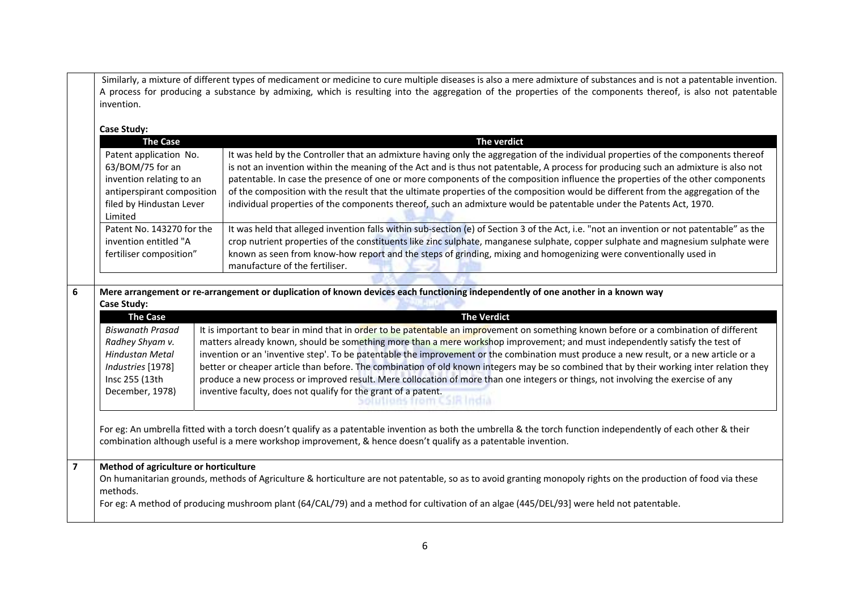| <b>Case Study:</b><br><b>The Case</b>                                                                                                       | The verdict                                                                                                                                                                                                                                                                                                                                                                                                                                                                                                                                                                                                                                                                                                                                                         |  |
|---------------------------------------------------------------------------------------------------------------------------------------------|---------------------------------------------------------------------------------------------------------------------------------------------------------------------------------------------------------------------------------------------------------------------------------------------------------------------------------------------------------------------------------------------------------------------------------------------------------------------------------------------------------------------------------------------------------------------------------------------------------------------------------------------------------------------------------------------------------------------------------------------------------------------|--|
| Patent application No.<br>63/BOM/75 for an<br>invention relating to an<br>antiperspirant composition<br>filed by Hindustan Lever<br>Limited | It was held by the Controller that an admixture having only the aggregation of the individual properties of the components thereof<br>is not an invention within the meaning of the Act and is thus not patentable, A process for producing such an admixture is also not<br>patentable. In case the presence of one or more components of the composition influence the properties of the other components<br>of the composition with the result that the ultimate properties of the composition would be different from the aggregation of the<br>individual properties of the components thereof, such an admixture would be patentable under the Patents Act, 1970.                                                                                             |  |
| Patent No. 143270 for the<br>invention entitled "A<br>fertiliser composition"                                                               | It was held that alleged invention falls within sub-section (e) of Section 3 of the Act, i.e. "not an invention or not patentable" as the<br>crop nutrient properties of the constituents like zinc sulphate, manganese sulphate, copper sulphate and magnesium sulphate were<br>known as seen from know-how report and the steps of grinding, mixing and homogenizing were conventionally used in<br>manufacture of the fertiliser.                                                                                                                                                                                                                                                                                                                                |  |
|                                                                                                                                             | Mere arrangement or re-arrangement or duplication of known devices each functioning independently of one another in a known way                                                                                                                                                                                                                                                                                                                                                                                                                                                                                                                                                                                                                                     |  |
| <b>Case Study:</b><br><b>The Verdict</b><br><b>The Case</b>                                                                                 |                                                                                                                                                                                                                                                                                                                                                                                                                                                                                                                                                                                                                                                                                                                                                                     |  |
| <b>Biswanath Prasad</b><br>Radhey Shyam v.<br><b>Hindustan Metal</b><br>Industries [1978]                                                   | It is important to bear in mind that in order to be patentable an improvement on something known before or a combination of different<br>matters already known, should be something more than a mere workshop improvement; and must independently satisfy the test of<br>invention or an 'inventive step'. To be patentable the improvement or the combination must produce a new result, or a new article or a<br>better or cheaper article than before. The combination of old known integers may be so combined that by their working inter relation they<br>produce a new process or improved result. Mere collocation of more than one integers or things, not involving the exercise of any<br>inventive faculty, does not qualify for the grant of a patent. |  |
| Insc 255 (13th<br>December, 1978)                                                                                                           | tions from CSIR India                                                                                                                                                                                                                                                                                                                                                                                                                                                                                                                                                                                                                                                                                                                                               |  |
|                                                                                                                                             | For eg: An umbrella fitted with a torch doesn't qualify as a patentable invention as both the umbrella & the torch function independently of each other & their<br>combination although useful is a mere workshop improvement, & hence doesn't qualify as a patentable invention.                                                                                                                                                                                                                                                                                                                                                                                                                                                                                   |  |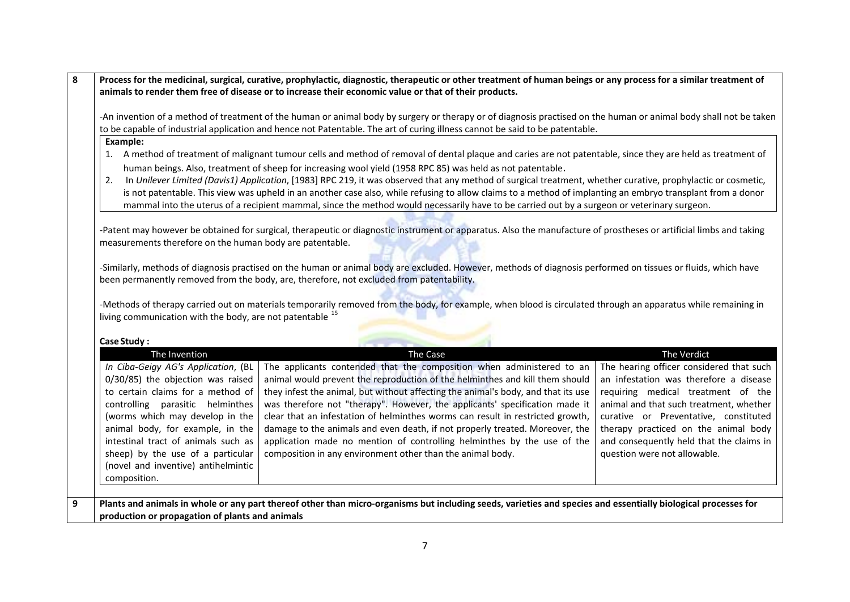**8**Process for the medicinal, surgical, curative, prophylactic, diagnostic, therapeutic or other treatment of human beings or any process for a similar treatment of animals to render them free of disease or to increase their economic value or that of their products.

‐An invention of <sup>a</sup> method of treatment of the human or animal body by surgery or therapy or of diagnosis practised on the human or animal body shall not be taken to be capable of industrial application and hence not Patentable. The art of curing illness cannot be said to be patentable.

#### **Example:**

- 1. A method of treatment of malignant tumour cells and method of removal of dental plaque and caries are not patentable, since they are held as treatment of human beings. Also, treatment of sheep for increasing wool yield (1958 RPC 85) was held as not patentable.
- 2. In *Unilever Limited (Davis1) Application*, [1983] RPC 219, it was observed that any method of surgical treatment, whether curative, prophylactic or cosmetic, is not patentable. This view was upheld in an another case also, while refusing to allow claims to <sup>a</sup> method of implanting an embryo transplant from <sup>a</sup> donor mammal into the uterus of <sup>a</sup> recipient mammal, since the method would necessarily have to be carried out by <sup>a</sup> surgeon or veterinary surgeon.

‐Patent may however be obtained for surgical, therapeutic or diagnostic instrument or apparatus. Also the manufacture of prostheses or artificial limbs and taking measurements therefore on the human body are patentable.

‐Similarly, methods of diagnosis practised on the human or animal body are excluded. However, methods of diagnosis performed on tissues or fluids, which have been permanently removed from the body, are, therefore, not excluded from patentability.

‐Methods of therapy carried out on materials temporarily removed from the body, for example, when blood is circulated through an apparatus while remaining in living communication with the body, are not patentable <sup>15</sup>

#### **Case Study :**

|   | The Invention                                                                                                                                                                                                                                                                   | The Case                                                                                                                                                                                                                                                                                                                                                                                                                                                                    | The Verdict                                                                                                                                                                                                                                |
|---|---------------------------------------------------------------------------------------------------------------------------------------------------------------------------------------------------------------------------------------------------------------------------------|-----------------------------------------------------------------------------------------------------------------------------------------------------------------------------------------------------------------------------------------------------------------------------------------------------------------------------------------------------------------------------------------------------------------------------------------------------------------------------|--------------------------------------------------------------------------------------------------------------------------------------------------------------------------------------------------------------------------------------------|
|   | In Ciba-Geigy AG's Application, (BL                                                                                                                                                                                                                                             | The applicants contended that the composition when administered to an                                                                                                                                                                                                                                                                                                                                                                                                       | The hearing officer considered that such                                                                                                                                                                                                   |
|   | 0/30/85) the objection was raised                                                                                                                                                                                                                                               | animal would prevent the reproduction of the helminthes and kill them should                                                                                                                                                                                                                                                                                                                                                                                                | an infestation was therefore a disease                                                                                                                                                                                                     |
|   | to certain claims for a method of<br>controlling parasitic helminthes<br>(worms which may develop in the<br>animal body, for example, in the<br>intestinal tract of animals such as<br>sheep) by the use of a particular<br>(novel and inventive) antihelmintic<br>composition. | they infest the animal, but without affecting the animal's body, and that its use<br>was therefore not "therapy". However, the applicants' specification made it<br>clear that an infestation of helminthes worms can result in restricted growth,<br>damage to the animals and even death, if not properly treated. Moreover, the<br>application made no mention of controlling helminthes by the use of the<br>composition in any environment other than the animal body. | requiring medical treatment of the<br>animal and that such treatment, whether<br>curative or Preventative, constituted<br>therapy practiced on the animal body<br>and consequently held that the claims in<br>question were not allowable. |
| 9 |                                                                                                                                                                                                                                                                                 | Plants and animals in whole or any part thereof other than micro-organisms but including seeds, varieties and species and essentially biological processes for                                                                                                                                                                                                                                                                                                              |                                                                                                                                                                                                                                            |
|   | production or propagation of plants and animals                                                                                                                                                                                                                                 |                                                                                                                                                                                                                                                                                                                                                                                                                                                                             |                                                                                                                                                                                                                                            |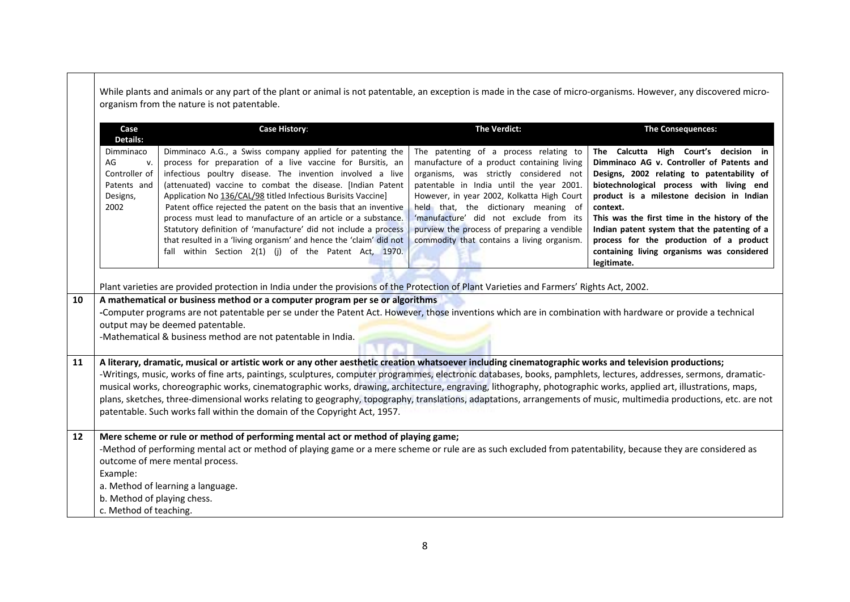|    | While plants and animals or any part of the plant or animal is not patentable, an exception is made in the case of micro-organisms. However, any discovered micro-<br>organism from the nature is not patentable.                                                                                                                              |                                                                                                                                                                                                                                                                                                                                                                                                                                                                                                                                                                                                                                                                                                                                                  |                                                                                                                                                                                                                                                                                                                                                                                                         |                                                                                                                                                                                                                                                                                                                                                                                                                                                |  |  |
|----|------------------------------------------------------------------------------------------------------------------------------------------------------------------------------------------------------------------------------------------------------------------------------------------------------------------------------------------------|--------------------------------------------------------------------------------------------------------------------------------------------------------------------------------------------------------------------------------------------------------------------------------------------------------------------------------------------------------------------------------------------------------------------------------------------------------------------------------------------------------------------------------------------------------------------------------------------------------------------------------------------------------------------------------------------------------------------------------------------------|---------------------------------------------------------------------------------------------------------------------------------------------------------------------------------------------------------------------------------------------------------------------------------------------------------------------------------------------------------------------------------------------------------|------------------------------------------------------------------------------------------------------------------------------------------------------------------------------------------------------------------------------------------------------------------------------------------------------------------------------------------------------------------------------------------------------------------------------------------------|--|--|
|    | Case<br><b>Details:</b>                                                                                                                                                                                                                                                                                                                        | <b>Case History:</b>                                                                                                                                                                                                                                                                                                                                                                                                                                                                                                                                                                                                                                                                                                                             | The Verdict:                                                                                                                                                                                                                                                                                                                                                                                            | <b>The Consequences:</b>                                                                                                                                                                                                                                                                                                                                                                                                                       |  |  |
|    | Dimminaco<br>AG<br>v.<br>Controller of<br>Patents and<br>Designs,<br>2002                                                                                                                                                                                                                                                                      | Dimminaco A.G., a Swiss company applied for patenting the<br>process for preparation of a live vaccine for Bursitis, an<br>infectious poultry disease. The invention involved a live<br>(attenuated) vaccine to combat the disease. [Indian Patent<br>Application No 136/CAL/98 titled Infectious Burisits Vaccine]<br>Patent office rejected the patent on the basis that an inventive<br>process must lead to manufacture of an article or a substance.<br>Statutory definition of 'manufacture' did not include a process<br>that resulted in a 'living organism' and hence the 'claim' did not<br>fall within Section 2(1) (j) of the Patent Act, 1970.                                                                                      | The patenting of a process relating to<br>manufacture of a product containing living<br>organisms, was strictly considered not<br>patentable in India until the year 2001.<br>However, in year 2002, Kolkatta High Court<br>held that, the dictionary meaning of<br>'manufacture' did not exclude from its<br>purview the process of preparing a vendible<br>commodity that contains a living organism. | The Calcutta High Court's decision in<br>Dimminaco AG v. Controller of Patents and<br>Designs, 2002 relating to patentability of<br>biotechnological process with living end<br>product is a milestone decision in Indian<br>context.<br>This was the first time in the history of the<br>Indian patent system that the patenting of a<br>process for the production of a product<br>containing living organisms was considered<br>legitimate. |  |  |
|    | Plant varieties are provided protection in India under the provisions of the Protection of Plant Varieties and Farmers' Rights Act, 2002.                                                                                                                                                                                                      |                                                                                                                                                                                                                                                                                                                                                                                                                                                                                                                                                                                                                                                                                                                                                  |                                                                                                                                                                                                                                                                                                                                                                                                         |                                                                                                                                                                                                                                                                                                                                                                                                                                                |  |  |
| 10 | A mathematical or business method or a computer program per se or algorithms<br>-Computer programs are not patentable per se under the Patent Act. However, those inventions which are in combination with hardware or provide a technical<br>output may be deemed patentable.<br>-Mathematical & business method are not patentable in India. |                                                                                                                                                                                                                                                                                                                                                                                                                                                                                                                                                                                                                                                                                                                                                  |                                                                                                                                                                                                                                                                                                                                                                                                         |                                                                                                                                                                                                                                                                                                                                                                                                                                                |  |  |
| 11 |                                                                                                                                                                                                                                                                                                                                                | A literary, dramatic, musical or artistic work or any other aesthetic creation whatsoever including cinematographic works and television productions;<br>-Writings, music, works of fine arts, paintings, sculptures, computer programmes, electronic databases, books, pamphlets, lectures, addresses, sermons, dramatic-<br>musical works, choreographic works, cinematographic works, drawing, architecture, engraving, lithography, photographic works, applied art, illustrations, maps,<br>plans, sketches, three-dimensional works relating to geography, topography, translations, adaptations, arrangements of music, multimedia productions, etc. are not<br>patentable. Such works fall within the domain of the Copyright Act, 1957. |                                                                                                                                                                                                                                                                                                                                                                                                         |                                                                                                                                                                                                                                                                                                                                                                                                                                                |  |  |
| 12 | Example:                                                                                                                                                                                                                                                                                                                                       | Mere scheme or rule or method of performing mental act or method of playing game;<br>-Method of performing mental act or method of playing game or a mere scheme or rule are as such excluded from patentability, because they are considered as<br>outcome of mere mental process.<br>a. Method of learning a language.                                                                                                                                                                                                                                                                                                                                                                                                                         |                                                                                                                                                                                                                                                                                                                                                                                                         |                                                                                                                                                                                                                                                                                                                                                                                                                                                |  |  |
|    | b. Method of playing chess.<br>c. Method of teaching.                                                                                                                                                                                                                                                                                          |                                                                                                                                                                                                                                                                                                                                                                                                                                                                                                                                                                                                                                                                                                                                                  |                                                                                                                                                                                                                                                                                                                                                                                                         |                                                                                                                                                                                                                                                                                                                                                                                                                                                |  |  |

 $\blacksquare$ 

┯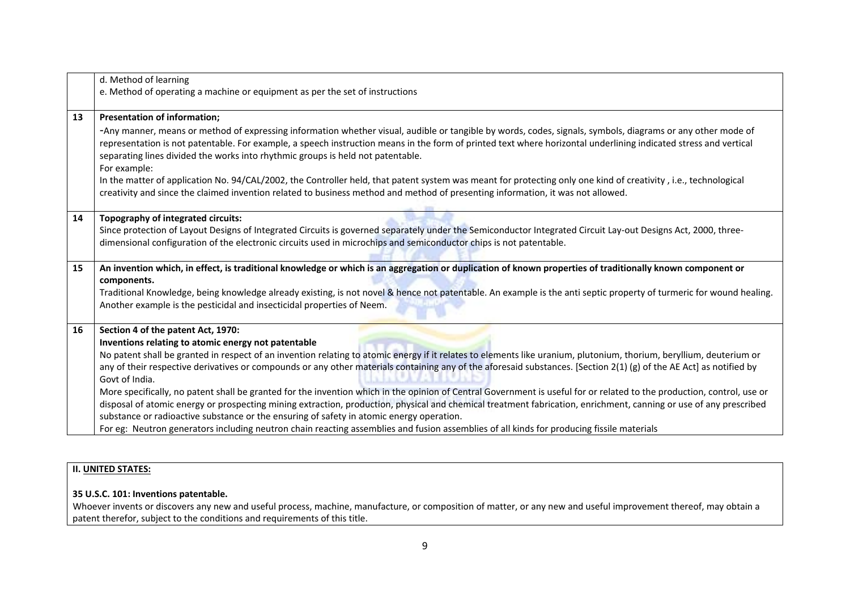|    | d. Method of learning                                                                                                                                                                                                                                                                                                                                                                                              |
|----|--------------------------------------------------------------------------------------------------------------------------------------------------------------------------------------------------------------------------------------------------------------------------------------------------------------------------------------------------------------------------------------------------------------------|
|    | e. Method of operating a machine or equipment as per the set of instructions                                                                                                                                                                                                                                                                                                                                       |
|    |                                                                                                                                                                                                                                                                                                                                                                                                                    |
| 13 | <b>Presentation of information;</b>                                                                                                                                                                                                                                                                                                                                                                                |
|    | -Any manner, means or method of expressing information whether visual, audible or tangible by words, codes, signals, symbols, diagrams or any other mode of<br>representation is not patentable. For example, a speech instruction means in the form of printed text where horizontal underlining indicated stress and vertical<br>separating lines divided the works into rhythmic groups is held not patentable. |
|    | For example:                                                                                                                                                                                                                                                                                                                                                                                                       |
|    | In the matter of application No. 94/CAL/2002, the Controller held, that patent system was meant for protecting only one kind of creativity, i.e., technological<br>creativity and since the claimed invention related to business method and method of presenting information, it was not allowed.                                                                                                                 |
| 14 | Topography of integrated circuits:                                                                                                                                                                                                                                                                                                                                                                                 |
|    | Since protection of Layout Designs of Integrated Circuits is governed separately under the Semiconductor Integrated Circuit Lay-out Designs Act, 2000, three-                                                                                                                                                                                                                                                      |
|    | dimensional configuration of the electronic circuits used in microchips and semiconductor chips is not patentable.                                                                                                                                                                                                                                                                                                 |
|    |                                                                                                                                                                                                                                                                                                                                                                                                                    |
| 15 | An invention which, in effect, is traditional knowledge or which is an aggregation or duplication of known properties of traditionally known component or<br>components.                                                                                                                                                                                                                                           |
|    | Traditional Knowledge, being knowledge already existing, is not novel & hence not patentable. An example is the anti septic property of turmeric for wound healing.                                                                                                                                                                                                                                                |
|    | Another example is the pesticidal and insecticidal properties of Neem.                                                                                                                                                                                                                                                                                                                                             |
|    |                                                                                                                                                                                                                                                                                                                                                                                                                    |
| 16 | Section 4 of the patent Act, 1970:                                                                                                                                                                                                                                                                                                                                                                                 |
|    | Inventions relating to atomic energy not patentable                                                                                                                                                                                                                                                                                                                                                                |
|    | No patent shall be granted in respect of an invention relating to atomic energy if it relates to elements like uranium, plutonium, thorium, beryllium, deuterium or                                                                                                                                                                                                                                                |
|    | any of their respective derivatives or compounds or any other materials containing any of the aforesaid substances. [Section 2(1) (g) of the AE Act] as notified by<br>Govt of India.                                                                                                                                                                                                                              |
|    | More specifically, no patent shall be granted for the invention which in the opinion of Central Government is useful for or related to the production, control, use or                                                                                                                                                                                                                                             |
|    | disposal of atomic energy or prospecting mining extraction, production, physical and chemical treatment fabrication, enrichment, canning or use of any prescribed                                                                                                                                                                                                                                                  |
|    | substance or radioactive substance or the ensuring of safety in atomic energy operation.                                                                                                                                                                                                                                                                                                                           |
|    | For eg: Neutron generators including neutron chain reacting assemblies and fusion assemblies of all kinds for producing fissile materials                                                                                                                                                                                                                                                                          |
|    |                                                                                                                                                                                                                                                                                                                                                                                                                    |

## **II. UNITED STATES:**

## **35 U.S.C. 101: Inventions patentable.**

Whoever invents or discovers any new and useful process, machine, manufacture, or composition of matter, or any new and useful improvement thereof, may obtain <sup>a</sup> patent therefor, subject to the conditions and requirements of this title.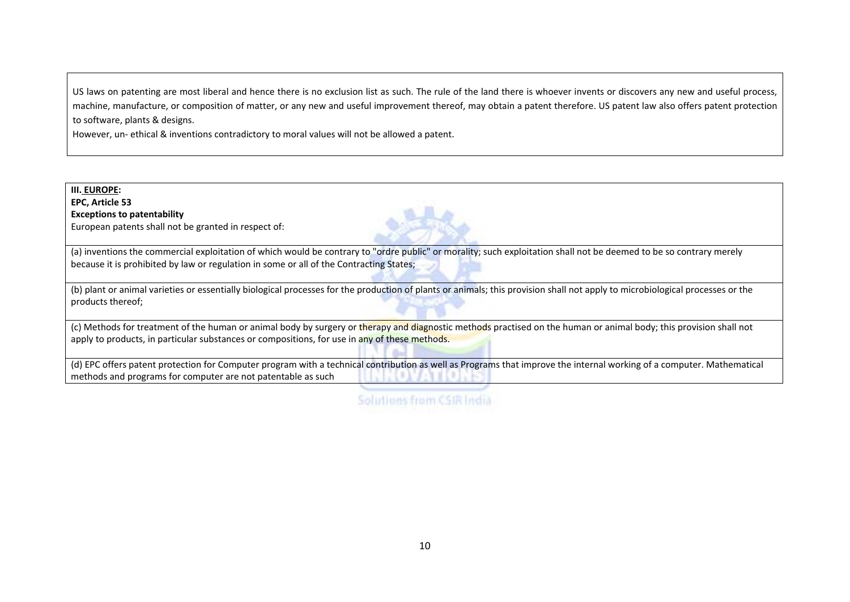US laws on patenting are most liberal and hence there is no exclusion list as such. The rule of the land there is whoever invents or discovers any new and useful process, machine, manufacture, or composition of matter, or any new and useful improvement thereof, may obtain a patent therefore. US patent law also offers patent protection to software, plants & designs.

However, un‐ ethical & inventions contradictory to moral values will not be allowed <sup>a</sup> patent.

| III. EUROPE:<br>EPC, Article 53<br><b>Exceptions to patentability</b><br>European patents shall not be granted in respect of:                                                                                                                                       |
|---------------------------------------------------------------------------------------------------------------------------------------------------------------------------------------------------------------------------------------------------------------------|
| (a) inventions the commercial exploitation of which would be contrary to "ordre public" or morality; such exploitation shall not be deemed to be so contrary merely<br>because it is prohibited by law or regulation in some or all of the Contracting States;      |
| (b) plant or animal varieties or essentially biological processes for the production of plants or animals; this provision shall not apply to microbiological processes or the<br>products thereof;                                                                  |
| (c) Methods for treatment of the human or animal body by surgery or therapy and diagnostic methods practised on the human or animal body; this provision shall not<br>apply to products, in particular substances or compositions, for use in any of these methods. |
| (d) EPC offers patent protection for Computer program with a technical contribution as well as Programs that improve the internal working of a computer. Mathematical<br>methods and programs for computer are not patentable as such                               |

Solutions from CSIR India